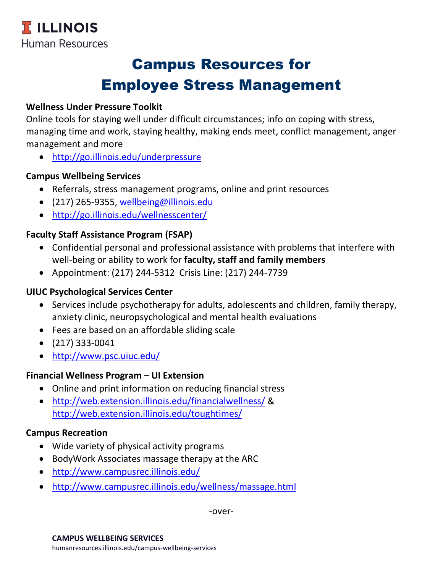# Campus Resources for Employee Stress Management

## **Wellness Under Pressure Toolkit**

Online tools for staying well under difficult circumstances; info on coping with stress, managing time and work, staying healthy, making ends meet, conflict management, anger management and more

<http://go.illinois.edu/underpressure>

#### **Campus Wellbeing Services**

- Referrals, stress management programs, online and print resources
- (217) 265-9355, [wellbeing@illinois.edu](mailto:wellbeing@illinois.edu)
- [http://go.illinois.edu/wellnesscenter/](http://www.campusrec.illinois.edu/wellnesscenter/)

## **Faculty Staff Assistance Program (FSAP)**

- Confidential personal and professional assistance with problems that interfere with well-being or ability to work for **faculty, staff and family members**
- Appointment: (217) 244-5312 Crisis Line: (217) 244-7739

## **UIUC Psychological Services Center**

- Services include psychotherapy for adults, adolescents and children, family therapy, anxiety clinic, neuropsychological and mental health evaluations
- Fees are based on an affordable sliding scale
- $\bullet$  (217) 333-0041
- <http://www.psc.uiuc.edu/>

#### **Financial Wellness Program – UI Extension**

- Online and print information on reducing financial stress
- <http://web.extension.illinois.edu/financialwellness/> & http://web.extension.illinois.edu/toughtimes/

#### **Campus Recreation**

- Wide variety of physical activity programs
- BodyWork Associates massage therapy at the ARC
- <http://www.campusrec.illinois.edu/>
- <http://www.campusrec.illinois.edu/wellness/massage.html>

-over-